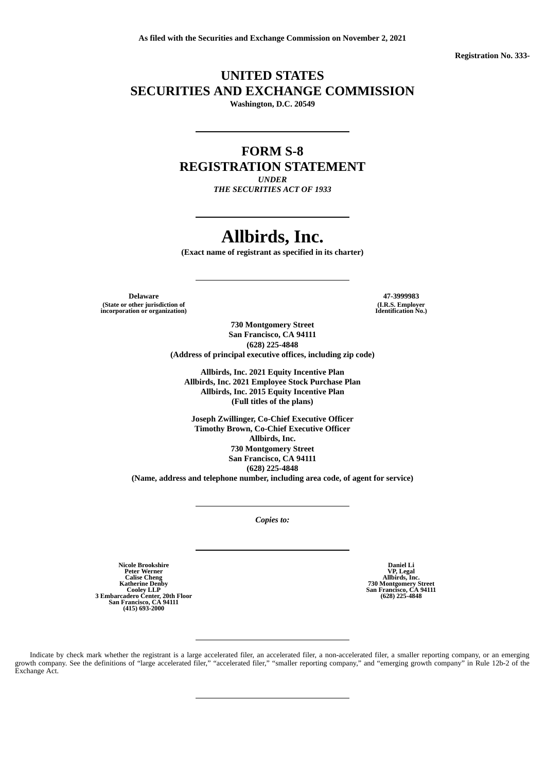**Registration No. 333-**

## **UNITED STATES SECURITIES AND EXCHANGE COMMISSION**

**Washington, D.C. 20549**

## **FORM S-8**

**REGISTRATION STATEMENT**

*UNDER THE SECURITIES ACT OF 1933*

# **Allbirds, Inc.**

**(Exact name of registrant as specified in its charter)**

**Delaware 47-3999983 (State or other jurisdiction of incorporation or organization)**

**(I.R.S. Employer Identification No.)**

**730 Montgomery Street San Francisco, CA 94111 (628) 225-4848 (Address of principal executive offices, including zip code)**

**Allbirds, Inc. 2021 Equity Incentive Plan Allbirds, Inc. 2021 Employee Stock Purchase Plan Allbirds, Inc. 2015 Equity Incentive Plan (Full titles of the plans)**

**Joseph Zwillinger, Co-Chief Executive Officer Timothy Brown, Co-Chief Executive Officer Allbirds, Inc. 730 Montgomery Street San Francisco, CA 94111 (628) 225-4848 (Name, address and telephone number, including area code, of agent for service)**

*Copies to:*

Nicole Brookshire<br>Peter Werner<br>Calise Cheng<br>Katherine Denby<br>Cooley LLP<br>3 Embarcadero Center, 20th Floor<br>San Francisco, CA 94111<br>(415) 693-2000

**Daniel Li VP, Legal Allbirds, Inc. 730 Montgomery Street San Francisco, CA 94111 (628) 225-4848**

Indicate by check mark whether the registrant is a large accelerated filer, an accelerated filer, a non-accelerated filer, a smaller reporting company, or an emerging growth company. See the definitions of "large accelerated filer," "accelerated filer," "smaller reporting company," and "emerging growth company" in Rule 12b-2 of the Exchange Act.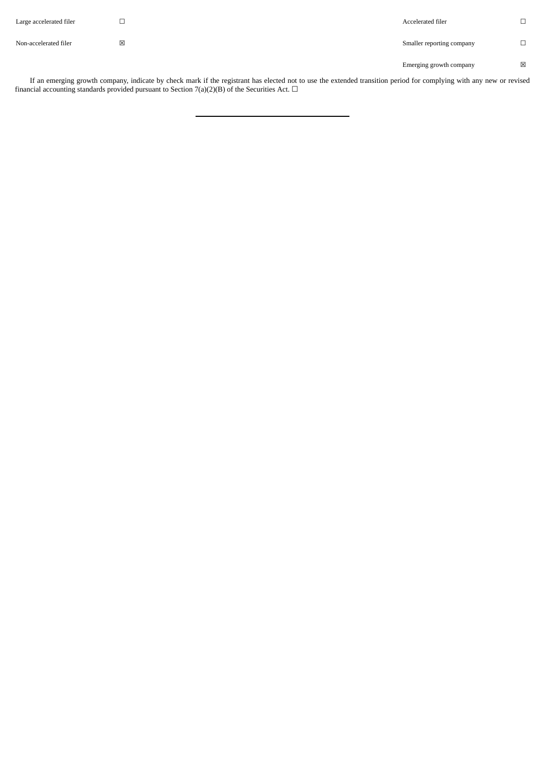| Large accelerated filer | ٮ | Accelerated filer         | $\Box$<br>⊔  |
|-------------------------|---|---------------------------|--------------|
| Non-accelerated filer   | ⊠ | Smaller reporting company |              |
|                         |   | Emerging growth company   | $\mathsf{x}$ |

If an emerging growth company, indicate by check mark if the registrant has elected not to use the extended transition period for complying with any new or revised financial accounting standards provided pursuant to Section 7(a)(2)(B) of the Securities Act.  $\Box$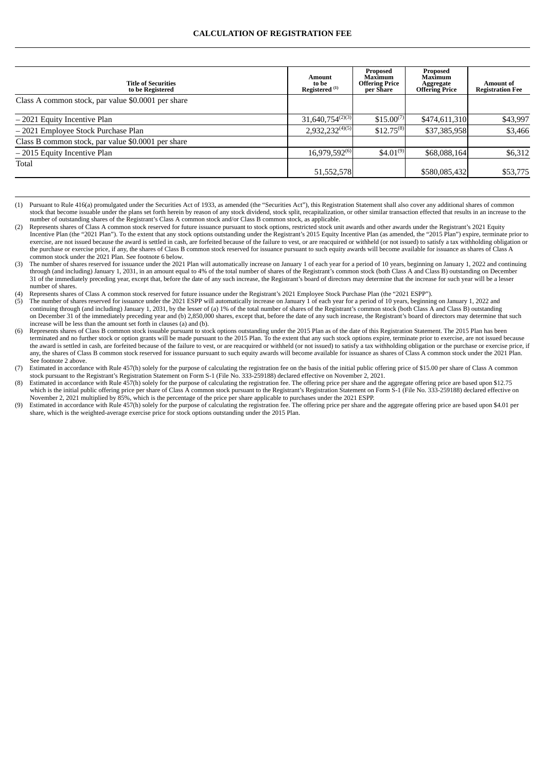| <b>Title of Securities</b><br>to be Registered     | <b>Amount</b><br>to be<br>Registered <sup>(1)</sup> | Proposed<br>Maximum<br><b>Offering Price</b><br>per Share | Proposed<br>Maximum<br>Aggregate<br><b>Offering Price</b> | <b>Amount</b> of<br><b>Registration Fee</b> |
|----------------------------------------------------|-----------------------------------------------------|-----------------------------------------------------------|-----------------------------------------------------------|---------------------------------------------|
| Class A common stock, par value \$0.0001 per share |                                                     |                                                           |                                                           |                                             |
| -2021 Equity Incentive Plan                        | $31,640,754^{(2)(3)}$                               | $$15.00^{(7)}$                                            | \$474,611,310                                             | \$43,997                                    |
| - 2021 Employee Stock Purchase Plan                | $2,932,232^{(4)(5)}$                                | $$12.75^{(8)}$                                            | \$37,385,958                                              | \$3,466                                     |
| Class B common stock, par value \$0.0001 per share |                                                     |                                                           |                                                           |                                             |
| $-2015$ Equity Incentive Plan                      | $16,979,592^{(6)}$                                  | $$4.01^{(9)}$$                                            | \$68,088,164                                              | \$6,312                                     |
| Total                                              | 51,552,578                                          |                                                           | \$580,085,432                                             | \$53,775                                    |

<sup>(1)</sup> Pursuant to Rule 416(a) promulgated under the Securities Act of 1933, as amended (the "Securities Act"), this Registration Statement shall also cover any additional shares of common stock that become issuable under the plans set forth herein by reason of any stock dividend, stock split, recapitalization, or other similar transaction effected that results in an increase to the number of outstanding shares of the Registrant's Class A common stock and/or Class B common stock, as applicable.

Expresents shares of Class A common stock reserved for future issuance pursuant to stock options, restricted stock unit awards and other awards under the Registrant's 2021 Equity Represents shares of Class A common stock r Incentive Plan (the "2021 Plan"). To the extent that any stock options outstanding under the Registrant's 2015 Equity Incentive Plan (as amended, the "2015 Plan") expire, terminate prior to exercise, are not issued because the award is settled in cash, are forfeited because of the failure to vest, or are reacquired or withheld (or not issued) to satisfy a tax withholding obligation or the purchase or exercise price, if any, the shares of Class B common stock reserved for issuance pursuant to such equity awards will become available for issuance as shares of Class A common stock under the 2021 Plan. See footnote 6 below.

(3) The number of shares reserved for issuance under the 2021 Plan will automatically increase on January 1 of each year for a period of 10 years, beginning on January 1, 2022 and continuing (3) The number of shares reserv through (and including) January 1, 2031, in an amount equal to 4% of the total number of shares of the Registrant's common stock (both Class A and Class B) outstanding on December 31 of the immediately preceding year, except that, before the date of any such increase, the Registrant's board of directors may determine that the increase for such year will be a lesser number of shares.

(4) Represents shares of Class A common stock reserved for future issuance under the Registrant's 2021 Employee Stock Purchase Plan (the "2021 ESPP").

(5) The number of shares reserved for issuance under the 2021 ESPP will automatically increase on January 1 of each year for a period of 10 years, beginning on January 1, 2022 and continuing through (and including) January 1, 2031, by the lesser of (a) 1% of the total number of shares of the Registrant's common stock (both Class A and Class B) outstanding on December 31 of the immediately preceding year and (b) 2,850,000 shares, except that, before the date of any such increase, the Registrant's board of directors may determine that such increase will be less than the amount set forth in clauses (a) and (b).

(6) Represents shares of Class B common stock issuable pursuant to stock options outstanding under the 2015 Plan as of the date of this Registration Statement. The 2015 Plan has been terminated and no further stock or option grants will be made pursuant to the 2015 Plan. To the extent that any such stock options expire, terminate prior to exercise, are not issued because the award is settled in cash, are forfeited because of the failure to vest, or are reacquired or withheld (or not issued) to satisfy a tax withholding obligation or the purchase or exercise price, if any, the shares of Class B common stock reserved for issuance pursuant to such equity awards will become available for issuance as shares of Class A common stock under the 2021 Plan. See footnote 2 above.

(7) Estimated in accordance with Rule 457(h) solely for the purpose of calculating the registration fee on the basis of the initial public offering price of \$15.00 per share of Class A common stock pursuant to the Registrant's Registration Statement on Form S-1 (File No. 333-259188) declared effective on November 2, 2021.

(8) Estimated in accordance with Rule 457(h) solely for the purpose of calculating the registration fee. The offering price per share and the aggregate offering price are based upon \$12.75 which is the initial public offering price per share of Class A common stock pursuant to the Registrant's Registration Statement on Form S-1 (File No. 333-259188) declared effective on November 2, 2021 multiplied by 85%, which is the percentage of the price per share applicable to purchases under the 2021 ESPP.

(9) Estimated in accordance with Rule 457(h) solely for the purpose of calculating the registration fee. The offering price per share and the aggregate offering price are based upon \$4.01 per share, which is the weighted-average exercise price for stock options outstanding under the 2015 Plan.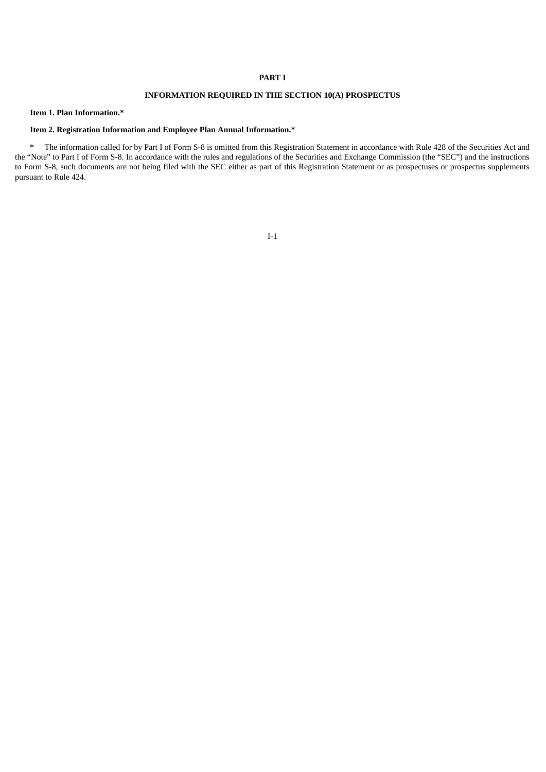#### **PART I**

## **INFORMATION REQUIRED IN THE SECTION 10(A) PROSPECTUS**

#### **Item 1. Plan Information.\***

### **Item 2. Registration Information and Employee Plan Annual Information.\***

\* The information called for by Part I of Form S-8 is omitted from this Registration Statement in accordance with Rule 428 of the Securities Act and the "Note" to Part I of Form S-8. In accordance with the rules and regulations of the Securities and Exchange Commission (the "SEC") and the instructions to Form S-8, such documents are not being filed with the SEC either as part of this Registration Statement or as prospectuses or prospectus supplements pursuant to Rule 424.

#### I-1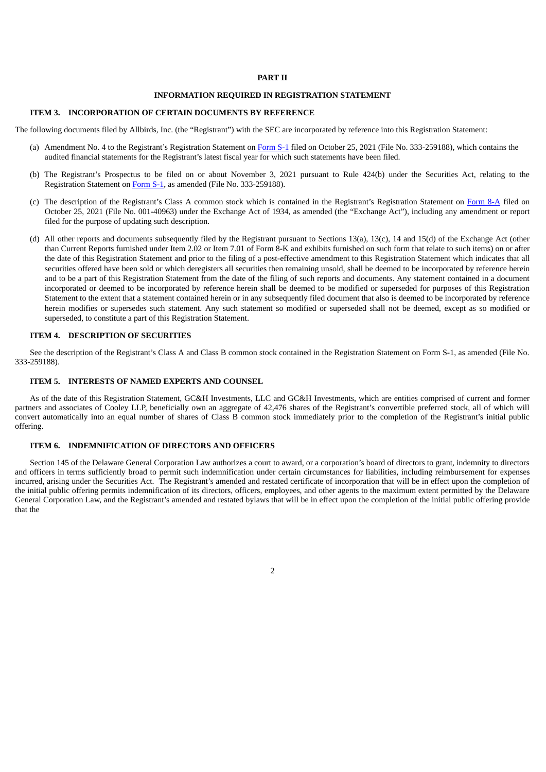#### **PART II**

## **INFORMATION REQUIRED IN REGISTRATION STATEMENT**

#### **ITEM 3. INCORPORATION OF CERTAIN DOCUMENTS BY REFERENCE**

The following documents filed by Allbirds, Inc. (the "Registrant") with the SEC are incorporated by reference into this Registration Statement:

- (a) Amendment No. 4 to the Registrant's Registration Statement on [Form](https://www.sec.gov/Archives/edgar/data/0001653909/000162828021020401/0001628280-21-020401-index.htm) S-1 filed on October 25, 2021 (File No. 333-259188), which contains the audited financial statements for the Registrant's latest fiscal year for which such statements have been filed.
- (b) The Registrant's Prospectus to be filed on or about November 3, 2021 pursuant to Rule 424(b) under the Securities Act, relating to the Registration Statement on [Form](https://www.sec.gov/Archives/edgar/data/0001653909/000162828021020401/0001628280-21-020401-index.htm) S-1, as amended (File No. 333-259188).
- (c) The description of the Registrant's Class A common stock which is contained in the Registrant's Registration Statement on [Form](https://www.sec.gov/Archives/edgar/data/0001653909/000162828021020403/0001628280-21-020403-index.htm) 8-A filed on October 25, 2021 (File No. 001-40963) under the Exchange Act of 1934, as amended (the "Exchange Act"), including any amendment or report filed for the purpose of updating such description.
- (d) All other reports and documents subsequently filed by the Registrant pursuant to Sections 13(a), 13(c), 14 and 15(d) of the Exchange Act (other than Current Reports furnished under Item 2.02 or Item 7.01 of Form 8-K and exhibits furnished on such form that relate to such items) on or after the date of this Registration Statement and prior to the filing of a post-effective amendment to this Registration Statement which indicates that all securities offered have been sold or which deregisters all securities then remaining unsold, shall be deemed to be incorporated by reference herein and to be a part of this Registration Statement from the date of the filing of such reports and documents. Any statement contained in a document incorporated or deemed to be incorporated by reference herein shall be deemed to be modified or superseded for purposes of this Registration Statement to the extent that a statement contained herein or in any subsequently filed document that also is deemed to be incorporated by reference herein modifies or supersedes such statement. Any such statement so modified or superseded shall not be deemed, except as so modified or superseded, to constitute a part of this Registration Statement.

#### **ITEM 4. DESCRIPTION OF SECURITIES**

See the description of the Registrant's Class A and Class B common stock contained in the Registration Statement on Form S-1, as amended (File No. 333-259188).

#### **ITEM 5. INTERESTS OF NAMED EXPERTS AND COUNSEL**

As of the date of this Registration Statement, GC&H Investments, LLC and GC&H Investments, which are entities comprised of current and former partners and associates of Cooley LLP, beneficially own an aggregate of 42,476 shares of the Registrant's convertible preferred stock, all of which will convert automatically into an equal number of shares of Class B common stock immediately prior to the completion of the Registrant's initial public offering.

### **ITEM 6. INDEMNIFICATION OF DIRECTORS AND OFFICERS**

Section 145 of the Delaware General Corporation Law authorizes a court to award, or a corporation's board of directors to grant, indemnity to directors and officers in terms sufficiently broad to permit such indemnification under certain circumstances for liabilities, including reimbursement for expenses incurred, arising under the Securities Act. The Registrant's amended and restated certificate of incorporation that will be in effect upon the completion of the initial public offering permits indemnification of its directors, officers, employees, and other agents to the maximum extent permitted by the Delaware General Corporation Law, and the Registrant's amended and restated bylaws that will be in effect upon the completion of the initial public offering provide that the

2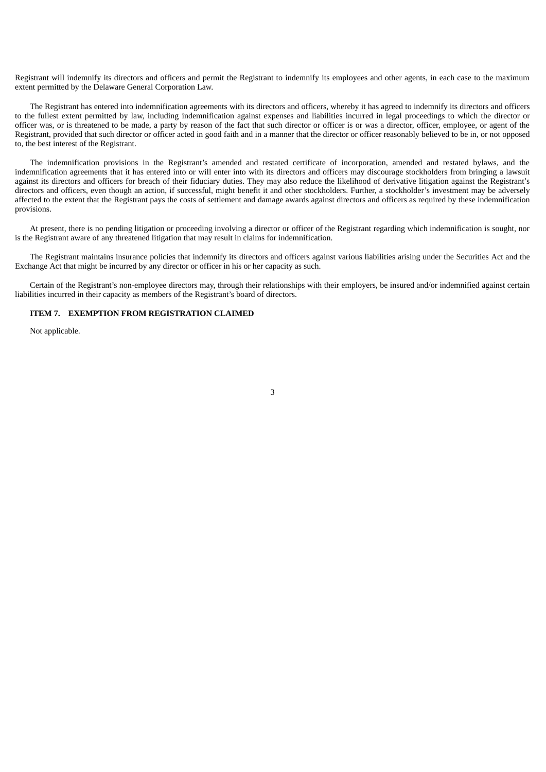Registrant will indemnify its directors and officers and permit the Registrant to indemnify its employees and other agents, in each case to the maximum extent permitted by the Delaware General Corporation Law.

The Registrant has entered into indemnification agreements with its directors and officers, whereby it has agreed to indemnify its directors and officers to the fullest extent permitted by law, including indemnification against expenses and liabilities incurred in legal proceedings to which the director or officer was, or is threatened to be made, a party by reason of the fact that such director or officer is or was a director, officer, employee, or agent of the Registrant, provided that such director or officer acted in good faith and in a manner that the director or officer reasonably believed to be in, or not opposed to, the best interest of the Registrant.

The indemnification provisions in the Registrant's amended and restated certificate of incorporation, amended and restated bylaws, and the indemnification agreements that it has entered into or will enter into with its directors and officers may discourage stockholders from bringing a lawsuit against its directors and officers for breach of their fiduciary duties. They may also reduce the likelihood of derivative litigation against the Registrant's directors and officers, even though an action, if successful, might benefit it and other stockholders. Further, a stockholder's investment may be adversely affected to the extent that the Registrant pays the costs of settlement and damage awards against directors and officers as required by these indemnification provisions.

At present, there is no pending litigation or proceeding involving a director or officer of the Registrant regarding which indemnification is sought, nor is the Registrant aware of any threatened litigation that may result in claims for indemnification.

The Registrant maintains insurance policies that indemnify its directors and officers against various liabilities arising under the Securities Act and the Exchange Act that might be incurred by any director or officer in his or her capacity as such.

Certain of the Registrant's non-employee directors may, through their relationships with their employers, be insured and/or indemnified against certain liabilities incurred in their capacity as members of the Registrant's board of directors.

#### **ITEM 7. EXEMPTION FROM REGISTRATION CLAIMED**

Not applicable.

3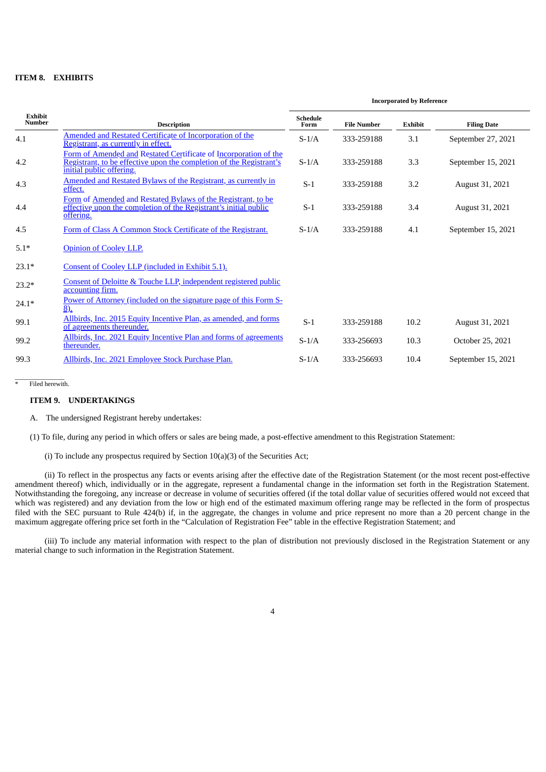#### **ITEM 8. EXHIBITS**

|                          |                                                                                                                                                                     | <b>Incorporated by Reference</b> |                    |                |                    |
|--------------------------|---------------------------------------------------------------------------------------------------------------------------------------------------------------------|----------------------------------|--------------------|----------------|--------------------|
| Exhibit<br><b>Number</b> | <b>Description</b>                                                                                                                                                  | <b>Schedule</b><br>Form          | <b>File Number</b> | <b>Exhibit</b> | <b>Filing Date</b> |
| 4.1                      | Amended and Restated Certificate of Incorporation of the<br>Registrant, as currently in effect.                                                                     | $S-1/A$                          | 333-259188         | 3.1            | September 27, 2021 |
| 4.2                      | Form of Amended and Restated Certificate of Incorporation of the<br>Registrant, to be effective upon the completion of the Registrant's<br>initial public offering. | $S-1/A$                          | 333-259188         | 3.3            | September 15, 2021 |
| 4.3                      | Amended and Restated Bylaws of the Registrant, as currently in<br>effect.                                                                                           | $S-1$                            | 333-259188         | 3.2            | August 31, 2021    |
| 4.4                      | Form of Amended and Restated Bylaws of the Registrant, to be<br>effective upon the completion of the Registrant's initial public<br>offering.                       | $S-1$                            | 333-259188         | 3.4            | August 31, 2021    |
| 4.5                      | Form of Class A Common Stock Certificate of the Registrant.                                                                                                         | $S-1/A$                          | 333-259188         | 4.1            | September 15, 2021 |
| $5.1*$                   | <b>Opinion of Cooley LLP.</b>                                                                                                                                       |                                  |                    |                |                    |
| $23.1*$                  | Consent of Cooley LLP (included in Exhibit 5.1).                                                                                                                    |                                  |                    |                |                    |
| $23.2*$                  | Consent of Deloitte & Touche LLP, independent registered public<br>accounting firm.                                                                                 |                                  |                    |                |                    |
| $24.1*$                  | Power of Attorney (included on the signature page of this Form S-<br>$\overline{8)}$ .                                                                              |                                  |                    |                |                    |
| 99.1                     | Allbirds, Inc. 2015 Equity Incentive Plan, as amended, and forms<br>of agreements thereunder.                                                                       | $S-1$                            | 333-259188         | 10.2           | August 31, 2021    |
| 99.2                     | Allbirds, Inc. 2021 Equity Incentive Plan and forms of agreements<br>thereunder.                                                                                    | $S-1/A$                          | 333-256693         | 10.3           | October 25, 2021   |
| 99.3                     | Allbirds, Inc. 2021 Employee Stock Purchase Plan.                                                                                                                   | $S-1/A$                          | 333-256693         | 10.4           | September 15, 2021 |

 $\overline{\phantom{a}}$ \* Filed herewith.

#### **ITEM 9. UNDERTAKINGS**

A. The undersigned Registrant hereby undertakes:

(1) To file, during any period in which offers or sales are being made, a post-effective amendment to this Registration Statement:

(i) To include any prospectus required by Section 10(a)(3) of the Securities Act;

(ii) To reflect in the prospectus any facts or events arising after the effective date of the Registration Statement (or the most recent post-effective amendment thereof) which, individually or in the aggregate, represent a fundamental change in the information set forth in the Registration Statement. Notwithstanding the foregoing, any increase or decrease in volume of securities offered (if the total dollar value of securities offered would not exceed that which was registered) and any deviation from the low or high end of the estimated maximum offering range may be reflected in the form of prospectus filed with the SEC pursuant to Rule 424(b) if, in the aggregate, the changes in volume and price represent no more than a 20 percent change in the maximum aggregate offering price set forth in the "Calculation of Registration Fee" table in the effective Registration Statement; and

(iii) To include any material information with respect to the plan of distribution not previously disclosed in the Registration Statement or any material change to such information in the Registration Statement.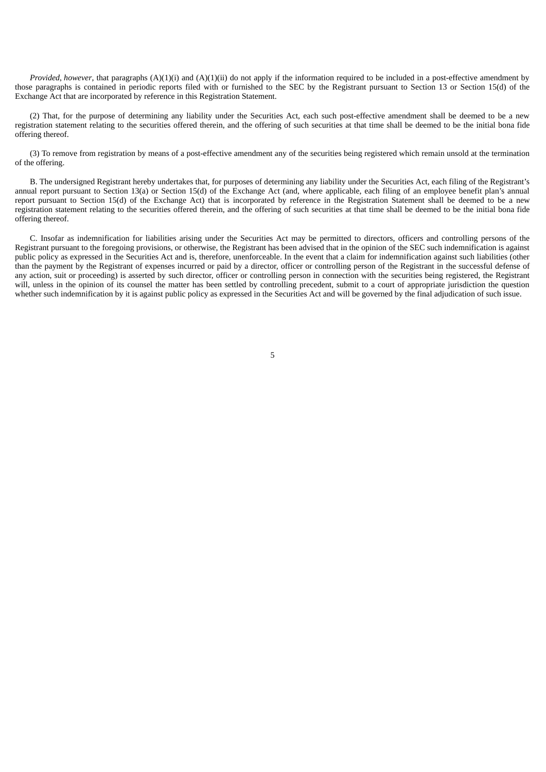*Provided*, *however*, that paragraphs (A)(1)(i) and (A)(1)(ii) do not apply if the information required to be included in a post-effective amendment by those paragraphs is contained in periodic reports filed with or furnished to the SEC by the Registrant pursuant to Section 13 or Section 15(d) of the Exchange Act that are incorporated by reference in this Registration Statement.

(2) That, for the purpose of determining any liability under the Securities Act, each such post-effective amendment shall be deemed to be a new registration statement relating to the securities offered therein, and the offering of such securities at that time shall be deemed to be the initial bona fide offering thereof.

(3) To remove from registration by means of a post-effective amendment any of the securities being registered which remain unsold at the termination of the offering.

B. The undersigned Registrant hereby undertakes that, for purposes of determining any liability under the Securities Act, each filing of the Registrant's annual report pursuant to Section 13(a) or Section 15(d) of the Exchange Act (and, where applicable, each filing of an employee benefit plan's annual report pursuant to Section 15(d) of the Exchange Act) that is incorporated by reference in the Registration Statement shall be deemed to be a new registration statement relating to the securities offered therein, and the offering of such securities at that time shall be deemed to be the initial bona fide offering thereof.

C. Insofar as indemnification for liabilities arising under the Securities Act may be permitted to directors, officers and controlling persons of the Registrant pursuant to the foregoing provisions, or otherwise, the Registrant has been advised that in the opinion of the SEC such indemnification is against public policy as expressed in the Securities Act and is, therefore, unenforceable. In the event that a claim for indemnification against such liabilities (other than the payment by the Registrant of expenses incurred or paid by a director, officer or controlling person of the Registrant in the successful defense of any action, suit or proceeding) is asserted by such director, officer or controlling person in connection with the securities being registered, the Registrant will, unless in the opinion of its counsel the matter has been settled by controlling precedent, submit to a court of appropriate jurisdiction the question whether such indemnification by it is against public policy as expressed in the Securities Act and will be governed by the final adjudication of such issue.

5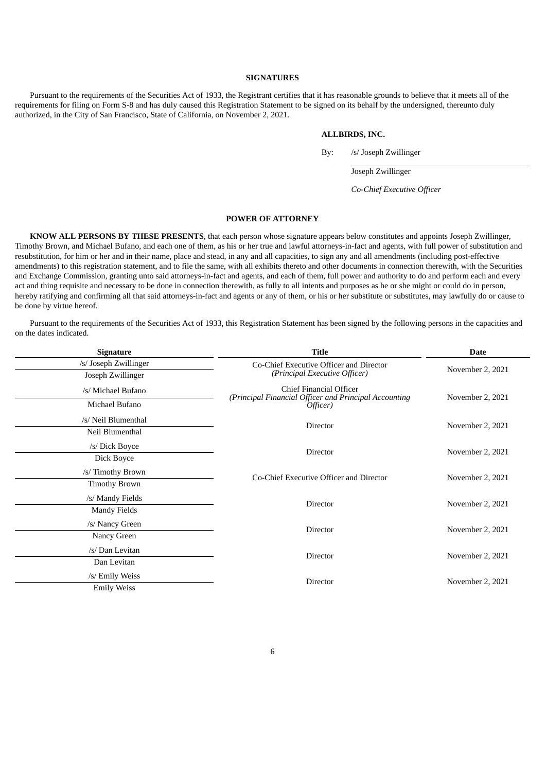#### **SIGNATURES**

Pursuant to the requirements of the Securities Act of 1933, the Registrant certifies that it has reasonable grounds to believe that it meets all of the requirements for filing on Form S-8 and has duly caused this Registration Statement to be signed on its behalf by the undersigned, thereunto duly authorized, in the City of San Francisco, State of California, on November 2, 2021.

#### **ALLBIRDS, INC.**

By: /s/ Joseph Zwillinger

Joseph Zwillinger

*Co-Chief Executive Officer*

#### **POWER OF ATTORNEY**

<span id="page-8-0"></span>**KNOW ALL PERSONS BY THESE PRESENTS**, that each person whose signature appears below constitutes and appoints Joseph Zwillinger, Timothy Brown, and Michael Bufano, and each one of them, as his or her true and lawful attorneys-in-fact and agents, with full power of substitution and resubstitution, for him or her and in their name, place and stead, in any and all capacities, to sign any and all amendments (including post-effective amendments) to this registration statement, and to file the same, with all exhibits thereto and other documents in connection therewith, with the Securities and Exchange Commission, granting unto said attorneys-in-fact and agents, and each of them, full power and authority to do and perform each and every act and thing requisite and necessary to be done in connection therewith, as fully to all intents and purposes as he or she might or could do in person, hereby ratifying and confirming all that said attorneys-in-fact and agents or any of them, or his or her substitute or substitutes, may lawfully do or cause to be done by virtue hereof.

Pursuant to the requirements of the Securities Act of 1933, this Registration Statement has been signed by the following persons in the capacities and on the dates indicated.

| <b>Signature</b>      | <b>Title</b>                                                                     | <b>Date</b>      |  |
|-----------------------|----------------------------------------------------------------------------------|------------------|--|
| /s/ Joseph Zwillinger | Co-Chief Executive Officer and Director                                          | November 2, 2021 |  |
| Joseph Zwillinger     | (Principal Executive Officer)                                                    |                  |  |
| /s/ Michael Bufano    | Chief Financial Officer<br>(Principal Financial Officer and Principal Accounting | November 2, 2021 |  |
| Michael Bufano        | Officer)                                                                         |                  |  |
| /s/ Neil Blumenthal   | Director                                                                         | November 2, 2021 |  |
| Neil Blumenthal       |                                                                                  |                  |  |
| /s/ Dick Boyce        | <b>Director</b>                                                                  | November 2, 2021 |  |
| Dick Boyce            |                                                                                  |                  |  |
| /s/ Timothy Brown     | Co-Chief Executive Officer and Director                                          | November 2, 2021 |  |
| <b>Timothy Brown</b>  |                                                                                  |                  |  |
| /s/ Mandy Fields      | Director                                                                         |                  |  |
| <b>Mandy Fields</b>   |                                                                                  | November 2, 2021 |  |
| /s/ Nancy Green       | Director                                                                         |                  |  |
| Nancy Green           |                                                                                  | November 2, 2021 |  |
| /s/ Dan Levitan       | Director                                                                         |                  |  |
| Dan Levitan           |                                                                                  | November 2, 2021 |  |
| /s/ Emily Weiss       | Director                                                                         | November 2, 2021 |  |
| <b>Emily Weiss</b>    |                                                                                  |                  |  |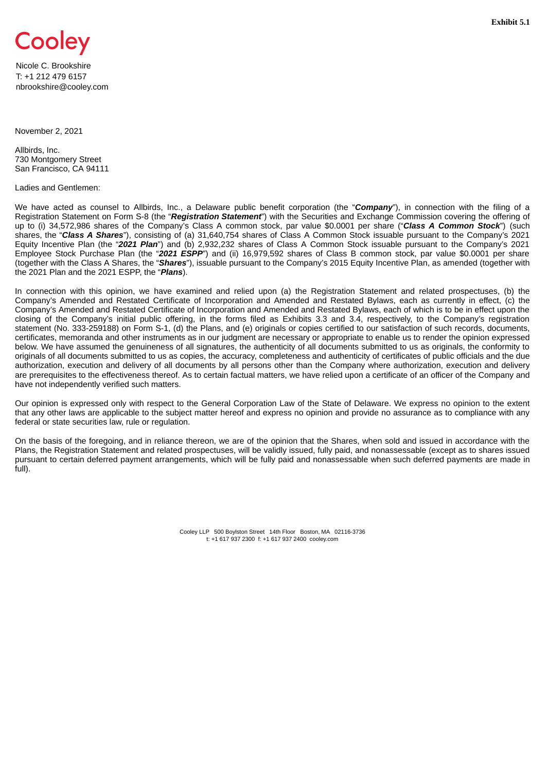<span id="page-9-0"></span>

Nicole C. Brookshire T: +1 212 479 6157 nbrookshire@cooley.com

November 2, 2021

Allbirds, Inc. 730 Montgomery Street San Francisco, CA 94111

#### Ladies and Gentlemen:

We have acted as counsel to Allbirds, Inc., a Delaware public benefit corporation (the "*Company*"), in connection with the filing of a Registration Statement on Form S-8 (the "*Registration Statement*") with the Securities and Exchange Commission covering the offering of up to (i) 34,572,986 shares of the Company's Class A common stock, par value \$0.0001 per share ("*Class A Common Stock*") (such shares, the "*Class A Shares*"), consisting of (a) 31,640,754 shares of Class A Common Stock issuable pursuant to the Company's 2021 Equity Incentive Plan (the "*2021 Plan*") and (b) 2,932,232 shares of Class A Common Stock issuable pursuant to the Company's 2021 Employee Stock Purchase Plan (the "*2021 ESPP*") and (ii) 16,979,592 shares of Class B common stock, par value \$0.0001 per share (together with the Class A Shares, the "*Shares*"), issuable pursuant to the Company's 2015 Equity Incentive Plan, as amended (together with the 2021 Plan and the 2021 ESPP, the "*Plans*).

In connection with this opinion, we have examined and relied upon (a) the Registration Statement and related prospectuses, (b) the Company's Amended and Restated Certificate of Incorporation and Amended and Restated Bylaws, each as currently in effect, (c) the Company's Amended and Restated Certificate of Incorporation and Amended and Restated Bylaws, each of which is to be in effect upon the closing of the Company's initial public offering, in the forms filed as Exhibits 3.3 and 3.4, respectively, to the Company's registration statement (No. 333-259188) on Form S-1, (d) the Plans, and (e) originals or copies certified to our satisfaction of such records, documents, certificates, memoranda and other instruments as in our judgment are necessary or appropriate to enable us to render the opinion expressed below. We have assumed the genuineness of all signatures, the authenticity of all documents submitted to us as originals, the conformity to originals of all documents submitted to us as copies, the accuracy, completeness and authenticity of certificates of public officials and the due authorization, execution and delivery of all documents by all persons other than the Company where authorization, execution and delivery are prerequisites to the effectiveness thereof. As to certain factual matters, we have relied upon a certificate of an officer of the Company and have not independently verified such matters.

Our opinion is expressed only with respect to the General Corporation Law of the State of Delaware. We express no opinion to the extent that any other laws are applicable to the subject matter hereof and express no opinion and provide no assurance as to compliance with any federal or state securities law, rule or regulation.

On the basis of the foregoing, and in reliance thereon, we are of the opinion that the Shares, when sold and issued in accordance with the Plans, the Registration Statement and related prospectuses, will be validly issued, fully paid, and nonassessable (except as to shares issued pursuant to certain deferred payment arrangements, which will be fully paid and nonassessable when such deferred payments are made in full).

> Cooley LLP 500 Boylston Street 14th Floor Boston, MA 02116-3736 t: +1 617 937 2300 f: +1 617 937 2400 cooley.com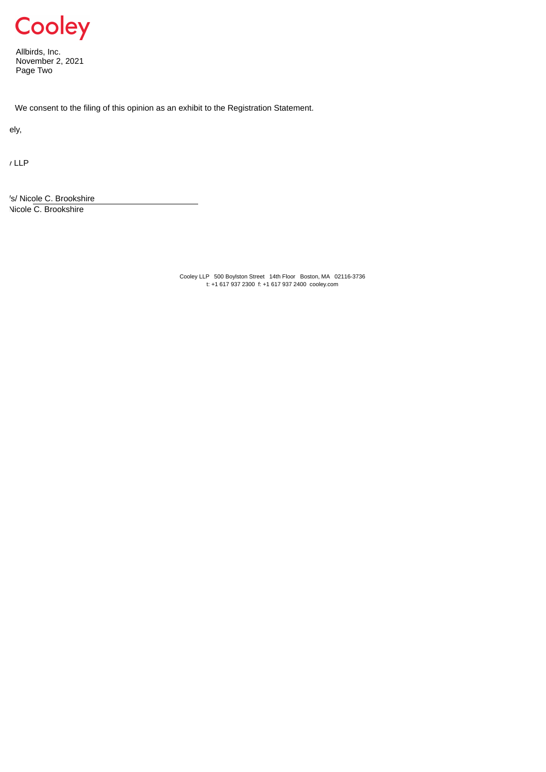

Allbirds, Inc. November 2, 2021 Page Two

We consent to the filing of this opinion as an exhibit to the Registration Statement.

ely,

y LLP

's/ Nicole C. Brookshire Nicole C. Brookshire

> Cooley LLP 500 Boylston Street 14th Floor Boston, MA 02116-3736 t: +1 617 937 2300 f: +1 617 937 2400 cooley.com